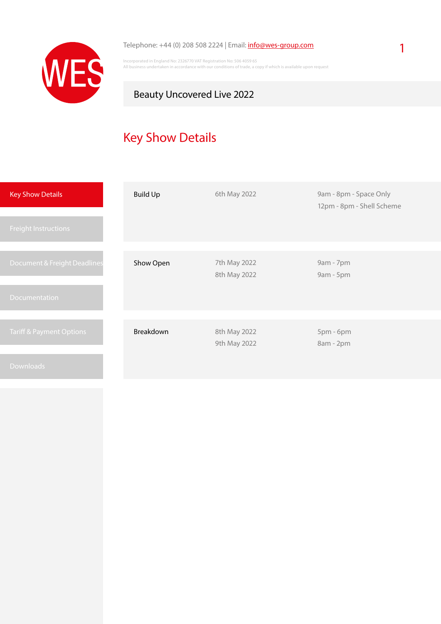

#### Telephone: +44 (0) 208 508 2224 | Email: [info@wes-group.com](mailto:info%40wes-group.com?subject=Beauty%20Uncovered%20Live%202022%20-%20Logistic%20Services)

Incorporated in England No: 2326770 VAT Registration No: 506 4059 65 All business undertaken in accordance with our conditions of trade, a copy if which is available upon request

## Beauty Uncovered Live 2022

# Key Show Details

| <b>Key Show Details</b>             | <b>Build Up</b> | 6th May 2022 | 9am - 8pm - Space Only<br>12pm - 8pm - Shell Scheme |
|-------------------------------------|-----------------|--------------|-----------------------------------------------------|
| <b>Freight Instructions</b>         |                 |              |                                                     |
|                                     |                 |              |                                                     |
| Document & Freight Deadlines        | Show Open       | 7th May 2022 | 9am - 7pm                                           |
|                                     |                 | 8th May 2022 | 9am - 5pm                                           |
| <b>Documentation</b>                |                 |              |                                                     |
|                                     |                 |              |                                                     |
| <b>Tariff &amp; Payment Options</b> | Breakdown       | 8th May 2022 | 5pm - 6pm                                           |
|                                     |                 | 9th May 2022 | 8am - 2pm                                           |
|                                     |                 |              |                                                     |
| <b>Downloads</b>                    |                 |              |                                                     |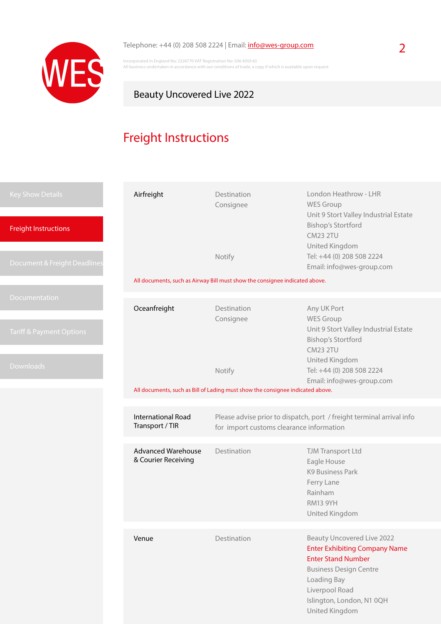

## Telephone: +44 (0) 208 508 2224 | Email: **[info@wes-group.com](mailto:info%40wes-group.com?subject=Beauty%20Uncovered%20Live%202022%20-%20Logistic%20Services)** 2

Incorporated in England No: 2326770 VAT Registration No: 506 4059 65 All business undertaken in accordance with our conditions of trade, a copy if which is available upon request

## Beauty Uncovered Live 2022

# Freight Instructions

| <b>Key Show Details</b><br><b>Freight Instructions</b> | Airfreight                                       | Destination<br>Consignee                                                                                          | London Heathrow - LHR<br><b>WES Group</b><br>Unit 9 Stort Valley Industrial Estate<br><b>Bishop's Stortford</b><br><b>CM23 2TU</b>                                                                                      |  |
|--------------------------------------------------------|--------------------------------------------------|-------------------------------------------------------------------------------------------------------------------|-------------------------------------------------------------------------------------------------------------------------------------------------------------------------------------------------------------------------|--|
| Document & Freight Deadlines                           |                                                  | Notify<br>All documents, such as Airway Bill must show the consignee indicated above.                             | United Kingdom<br>Tel: +44 (0) 208 508 2224<br>Email: info@wes-group.com                                                                                                                                                |  |
|                                                        |                                                  |                                                                                                                   |                                                                                                                                                                                                                         |  |
| Documentation                                          | Oceanfreight                                     | Destination<br>Consignee                                                                                          | Any UK Port<br><b>WES Group</b>                                                                                                                                                                                         |  |
| <b>Tariff &amp; Payment Options</b>                    |                                                  |                                                                                                                   | Unit 9 Stort Valley Industrial Estate<br><b>Bishop's Stortford</b><br><b>CM23 2TU</b>                                                                                                                                   |  |
| <b>Downloads</b>                                       |                                                  | Notify                                                                                                            | United Kingdom<br>Tel: +44 (0) 208 508 2224<br>Email: info@wes-group.com                                                                                                                                                |  |
|                                                        |                                                  | All documents, such as Bill of Lading must show the consignee indicated above.                                    |                                                                                                                                                                                                                         |  |
|                                                        |                                                  |                                                                                                                   |                                                                                                                                                                                                                         |  |
|                                                        | <b>International Road</b><br>Transport / TIR     | Please advise prior to dispatch, port / freight terminal arrival info<br>for import customs clearance information |                                                                                                                                                                                                                         |  |
|                                                        | <b>Advanced Warehouse</b><br>& Courier Receiving | Destination                                                                                                       | TJM Transport Ltd<br>Eagle House<br><b>K9 Business Park</b><br>Ferry Lane<br>Rainham<br><b>RM13 9YH</b><br>United Kingdom                                                                                               |  |
|                                                        |                                                  |                                                                                                                   |                                                                                                                                                                                                                         |  |
|                                                        | Venue                                            | Destination                                                                                                       | <b>Beauty Uncovered Live 2022</b><br><b>Enter Exhibiting Company Name</b><br><b>Enter Stand Number</b><br><b>Business Design Centre</b><br>Loading Bay<br>Liverpool Road<br>Islington, London, N1 0QH<br>United Kingdom |  |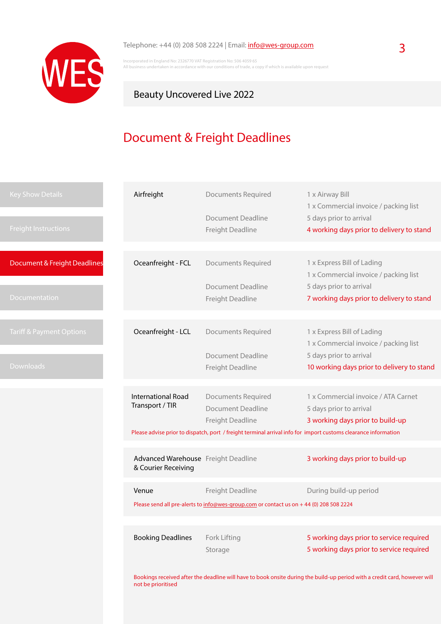

### Telephone: +44 (0) 208 508 2224 | Email: **[info@wes-group.com](mailto:info%40wes-group.com?subject=Beauty%20Uncovered%20Live%202022%20-%20Logistic%20Services)** 3

Incorporated in England No: 2326770 VAT Registration No: 506 4059 65 All business undertaken in accordance with our conditions of trade, a copy if which is available upon request

## Beauty Uncovered Live 2022

## Document & Freight Deadlines

| <b>Key Show Details</b>             | Airfreight                                                 | <b>Documents Required</b>                                                              | 1 x Airway Bill<br>1 x Commercial invoice / packing list                                                       |
|-------------------------------------|------------------------------------------------------------|----------------------------------------------------------------------------------------|----------------------------------------------------------------------------------------------------------------|
|                                     |                                                            | <b>Document Deadline</b>                                                               | 5 days prior to arrival                                                                                        |
| <b>Freight Instructions</b>         |                                                            | Freight Deadline                                                                       | 4 working days prior to delivery to stand                                                                      |
|                                     |                                                            |                                                                                        |                                                                                                                |
|                                     |                                                            |                                                                                        |                                                                                                                |
| Document & Freight Deadlines        | Oceanfreight - FCL                                         | Documents Required                                                                     | 1 x Express Bill of Lading                                                                                     |
|                                     |                                                            |                                                                                        | 1 x Commercial invoice / packing list                                                                          |
|                                     |                                                            | <b>Document Deadline</b>                                                               | 5 days prior to arrival                                                                                        |
| <b>Documentation</b>                |                                                            | Freight Deadline                                                                       | 7 working days prior to delivery to stand                                                                      |
|                                     |                                                            |                                                                                        |                                                                                                                |
|                                     |                                                            |                                                                                        |                                                                                                                |
| <b>Tariff &amp; Payment Options</b> | Oceanfreight - LCL                                         | Documents Required                                                                     | 1 x Express Bill of Lading                                                                                     |
|                                     |                                                            |                                                                                        | 1 x Commercial invoice / packing list                                                                          |
|                                     |                                                            | <b>Document Deadline</b>                                                               | 5 days prior to arrival                                                                                        |
| <b>Downloads</b>                    |                                                            | Freight Deadline                                                                       | 10 working days prior to delivery to stand                                                                     |
|                                     |                                                            |                                                                                        |                                                                                                                |
|                                     | <b>International Road</b>                                  | <b>Documents Required</b>                                                              | 1 x Commercial invoice / ATA Carnet                                                                            |
|                                     | Transport / TIR                                            | Document Deadline                                                                      | 5 days prior to arrival                                                                                        |
|                                     |                                                            | Freight Deadline                                                                       | 3 working days prior to build-up                                                                               |
|                                     |                                                            |                                                                                        |                                                                                                                |
|                                     |                                                            |                                                                                        | Please advise prior to dispatch, port / freight terminal arrival info for import customs clearance information |
|                                     |                                                            |                                                                                        |                                                                                                                |
|                                     | Advanced Warehouse Freight Deadline<br>& Courier Receiving |                                                                                        | 3 working days prior to build-up                                                                               |
|                                     |                                                            |                                                                                        |                                                                                                                |
|                                     | Venue                                                      | Freight Deadline                                                                       | During build-up period                                                                                         |
|                                     |                                                            |                                                                                        |                                                                                                                |
|                                     |                                                            | Please send all pre-alerts to info@wes-group.com or contact us on +44 (0) 208 508 2224 |                                                                                                                |
|                                     |                                                            |                                                                                        |                                                                                                                |
|                                     | <b>Booking Deadlines</b>                                   | Fork Lifting                                                                           | 5 working days prior to service required                                                                       |
|                                     |                                                            | Storage                                                                                | 5 working days prior to service required                                                                       |
|                                     |                                                            |                                                                                        |                                                                                                                |
|                                     |                                                            |                                                                                        |                                                                                                                |

Bookings received after the deadline will have to book onsite during the build-up period with a credit card, however will not be prioritised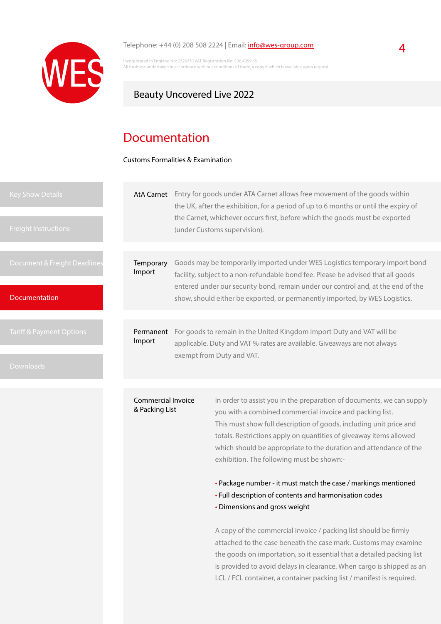

#### Telephone:  $+44$  (0) 208 508 2224 | Email:  $info@wes-group.com$  $info@wes-group.com$  $info@wes-group.com$ </u>

Incorporated in England No: 2326770 VAT Registration No: 506 4059 65 The staten in accordance with our conditions of trade, a copy if which is available upon request

### Beauty Uncovered Live 2022

## Documentation

Customs Formalities & Examination

| <b>Key Show Details</b><br><b>Freight Instructions</b> | <b>AtA Carnet</b>                                                                                                                                                        |  | Entry for goods under ATA Carnet allows free movement of the goods within<br>the UK, after the exhibition, for a period of up to 6 months or until the expiry of<br>the Carnet, whichever occurs first, before which the goods must be exported<br>(under Customs supervision). |
|--------------------------------------------------------|--------------------------------------------------------------------------------------------------------------------------------------------------------------------------|--|---------------------------------------------------------------------------------------------------------------------------------------------------------------------------------------------------------------------------------------------------------------------------------|
|                                                        |                                                                                                                                                                          |  |                                                                                                                                                                                                                                                                                 |
| Document & Freight Deadlines                           | Temporary<br>Import                                                                                                                                                      |  | Goods may be temporarily imported under WES Logistics temporary import bond<br>facility, subject to a non-refundable bond fee. Please be advised that all goods<br>entered under our security bond, remain under our control and, at the end of the                             |
| Documentation                                          |                                                                                                                                                                          |  | show, should either be exported, or permanently imported, by WES Logistics.                                                                                                                                                                                                     |
|                                                        |                                                                                                                                                                          |  |                                                                                                                                                                                                                                                                                 |
| Tariff & Payment Options                               | For goods to remain in the United Kingdom import Duty and VAT will be<br>Permanent<br>Import<br>applicable. Duty and VAT % rates are available. Giveaways are not always |  |                                                                                                                                                                                                                                                                                 |
| <b>Downloads</b>                                       |                                                                                                                                                                          |  | exempt from Duty and VAT.                                                                                                                                                                                                                                                       |
|                                                        |                                                                                                                                                                          |  |                                                                                                                                                                                                                                                                                 |
|                                                        | Commercial Invoice<br>& Packing List                                                                                                                                     |  | In order to assist you in the preparation of documents, we can supply<br>you with a combined commercial invoice and packing list.<br>This must show full description of goods including unit price and                                                                          |

scription of goods, including unit price and totals. Restrictions apply on quantities of giveaway items allowed which should be appropriate to the duration and attendance of the exhibition. The following must be shown:-

• Package number - it must match the case / markings mentioned

- Full description of contents and harmonisation codes
- Dimensions and gross weight

A copy of the commercial invoice / packing list should be firmly attached to the case beneath the case mark. Customs may examine the goods on importation, so it essential that a detailed packing list is provided to avoid delays in clearance. When cargo is shipped as an LCL / FCL container, a container packing list / manifest is required.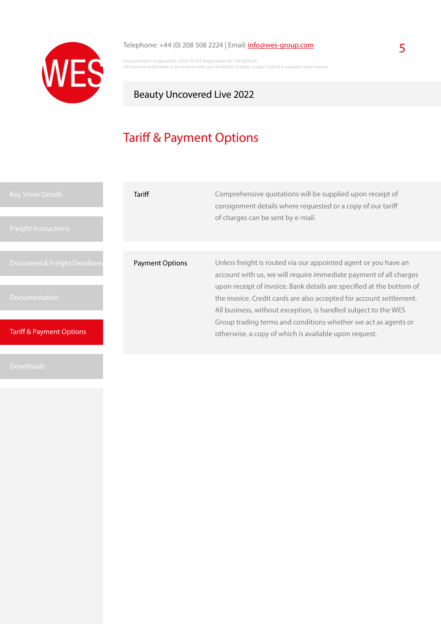

## Telephone: +44 (0) 208 508 2224 | Email:  $\frac{info@wes-group.com}{}$  $\frac{info@wes-group.com}{}$  $\frac{info@wes-group.com}{}$  5

Incorporated in England No: 2326770 VAT Registration No: 506 4059 65 All business undertaken in accordance with our conditions of trade, a copy if which is available upon request

## Beauty Uncovered Live 2022

# Tariff & Payment Options

| <b>Key Show Details</b><br><b>Freight Instructions</b> | Tariff                 | Comprehensive quotations will be supplied upon receipt of<br>consignment details where requested or a copy of our tariff<br>of charges can be sent by e-mail.                                                 |
|--------------------------------------------------------|------------------------|---------------------------------------------------------------------------------------------------------------------------------------------------------------------------------------------------------------|
| Document & Freight Deadlines                           | <b>Payment Options</b> | Unless freight is routed via our appointed agent or you have an<br>account with us, we will require immediate payment of all charges                                                                          |
| Documentation                                          |                        | upon receipt of invoice. Bank details are specified at the bottom of<br>the invoice. Credit cards are also accepted for account settlement.<br>All business, without exception, is handled subject to the WES |
| <b>Tariff &amp; Payment Options</b>                    |                        | Group trading terms and conditions whether we act as agents or<br>otherwise, a copy of which is available upon request.                                                                                       |